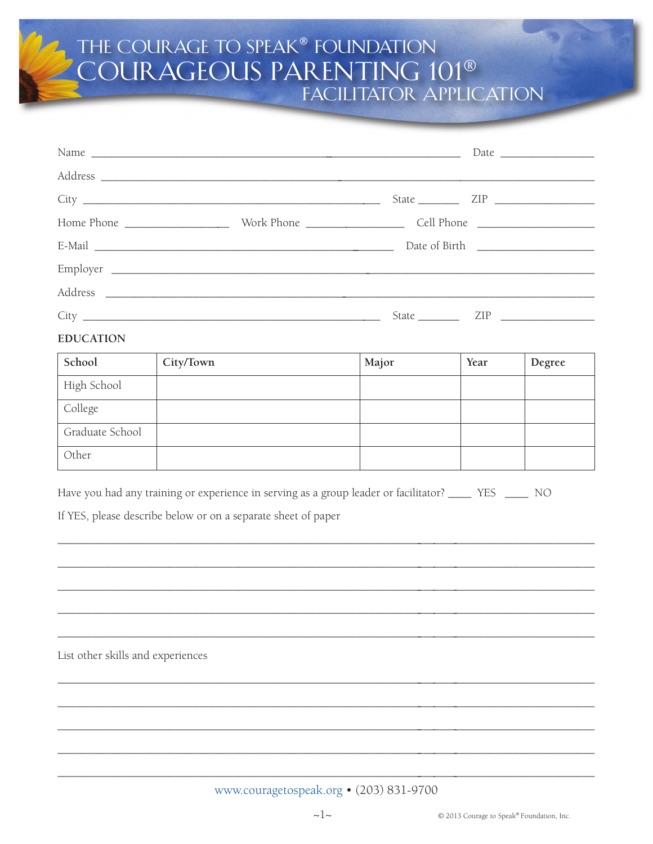## THE COURAGE TO SPEAK® FOUNDATION<br>COURAGEOUS PARENTING 101® **FACILITATOR APPLICATION**

|                  |  | State <u>ZIP</u> |
|------------------|--|------------------|
| <b>EDUCATION</b> |  |                  |

| School          | City/Town | Major | Year | Degree |
|-----------------|-----------|-------|------|--------|
| High School     |           |       |      |        |
| College         |           |       |      |        |
| Graduate School |           |       |      |        |
| Other           |           |       |      |        |

Have you had any training or experience in serving as a group leader or facilitator? \_\_\_\_\_ YES \_\_\_\_\_ NO

If YES, please describe below or on a separate sheet of paper

List other skills and experiences